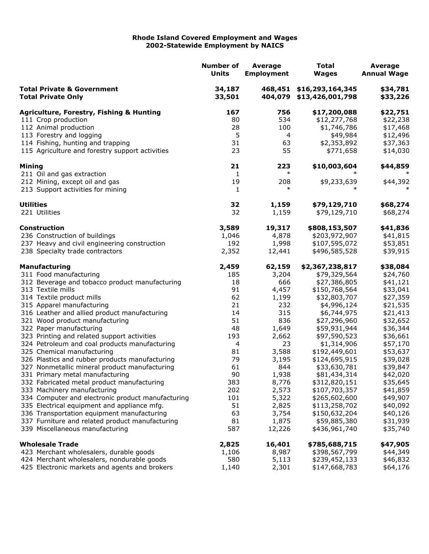## **Rhode Island Covered Employment and Wages 2002-Statewide Employment by NAICS**

|                                                                        | <b>Number of</b><br><b>Units</b> | <b>Average</b><br><b>Employment</b> | <b>Total</b><br><b>Wages</b>                 | <b>Average</b><br><b>Annual Wage</b> |
|------------------------------------------------------------------------|----------------------------------|-------------------------------------|----------------------------------------------|--------------------------------------|
| <b>Total Private &amp; Government</b><br><b>Total Private Only</b>     | 34,187<br>33,501                 | 404,079                             | 468,451 \$16,293,164,345<br>\$13,426,001,798 | \$34,781<br>\$33,226                 |
| <b>Agriculture, Forestry, Fishing &amp; Hunting</b>                    | 167                              | 756                                 | \$17,200,088                                 | \$22,751                             |
| 111 Crop production                                                    | 80                               | 534                                 | \$12,277,768                                 | \$22,238                             |
| 112 Animal production                                                  | 28                               | 100                                 | \$1,746,786                                  | \$17,468                             |
| 113 Forestry and logging                                               | 5                                | 4                                   | \$49,984                                     | \$12,496                             |
| 114 Fishing, hunting and trapping                                      | 31                               | 63                                  | \$2,353,892                                  | \$37,363                             |
| 115 Agriculture and forestry support activities                        | 23                               | 55                                  | \$771,658                                    | \$14,030                             |
| <b>Mining</b>                                                          | 21                               | 223                                 | \$10,003,604                                 | \$44,859                             |
| 211 Oil and gas extraction                                             | $\mathbf{1}$                     | $\ast$                              |                                              | $\ast$                               |
| 212 Mining, except oil and gas                                         | 19                               | 208                                 | \$9,233,639                                  | \$44,392                             |
| 213 Support activities for mining                                      | 1                                | $\ast$                              | ж                                            | $\ast$                               |
| <b>Utilities</b>                                                       | 32                               | 1,159                               | \$79,129,710                                 | \$68,274                             |
| 221 Utilities                                                          | 32                               | 1,159                               | \$79,129,710                                 | \$68,274                             |
| <b>Construction</b>                                                    | 3,589                            | 19,317                              | \$808,153,507                                | \$41,836                             |
| 236 Construction of buildings                                          | 1,046                            | 4,878                               | \$203,972,907                                | \$41,815                             |
| 237 Heavy and civil engineering construction                           | 192                              | 1,998                               | \$107,595,072                                | \$53,851                             |
| 238 Specialty trade contractors                                        | 2,352                            | 12,441                              | \$496,585,528                                | \$39,915                             |
| <b>Manufacturing</b>                                                   | 2,459                            | 62,159                              | \$2,367,238,817                              | \$38,084                             |
| 311 Food manufacturing                                                 | 185                              | 3,204                               | \$79,329,564                                 | \$24,760                             |
| 312 Beverage and tobacco product manufacturing                         | 18                               | 666                                 | \$27,386,805                                 | \$41,121                             |
| 313 Textile mills                                                      | 91                               | 4,457                               | \$150,768,564                                | \$33,041                             |
| 314 Textile product mills                                              | 62                               | 1,199                               | \$32,803,707                                 | \$27,359                             |
| 315 Apparel manufacturing                                              | 21                               | 232                                 | \$4,996,124                                  | \$21,535                             |
| 316 Leather and allied product manufacturing                           | 14                               | 315                                 | \$6,744,975                                  | \$21,413                             |
| 321 Wood product manufacturing                                         | 51<br>48                         | 836                                 | \$27,296,960                                 | \$32,652                             |
| 322 Paper manufacturing<br>323 Printing and related support activities | 193                              | 1,649<br>2,662                      | \$59,931,944<br>\$97,590,523                 | \$36,344<br>\$36,661                 |
| 324 Petroleum and coal products manufacturing                          | 4                                | 23                                  | \$1,314,906                                  | \$57,170                             |
| 325 Chemical manufacturing                                             | 81                               | 3,588                               | \$192,449,601                                | \$53,637                             |
| 326 Plastics and rubber products manufacturing                         | 79                               | 3,195                               | \$124,695,915                                | \$39,028                             |
| 327 Nonmetallic mineral product manufacturing                          | 61                               | 844                                 | \$33,630,781                                 | \$39,847                             |
| 331 Primary metal manufacturing                                        | 90                               | 1,938                               | \$81,434,314                                 | \$42,020                             |
| 332 Fabricated metal product manufacturing                             | 383                              | 8,776                               | \$312,820,151                                | \$35,645                             |
| 333 Machinery manufacturing                                            | 202                              | 2,573                               | \$107,703,357                                | \$41,859                             |
| 334 Computer and electronic product manufacturing                      | 101                              | 5,322                               | \$265,602,600                                | \$49,907                             |
| 335 Electrical equipment and appliance mfg.                            | 51                               | 2,825                               | \$113,258,702                                | \$40,092                             |
| 336 Transportation equipment manufacturing                             | 63                               | 3,754                               | \$150,632,204                                | \$40,126                             |
| 337 Furniture and related product manufacturing                        | 81                               | 1,875                               | \$59,885,380                                 | \$31,939                             |
| 339 Miscellaneous manufacturing                                        | 587                              | 12,226                              | \$436,961,740                                | \$35,740                             |
| <b>Wholesale Trade</b>                                                 | 2,825                            | 16,401                              | \$785,688,715                                | \$47,905                             |
| 423 Merchant wholesalers, durable goods                                | 1,106                            | 8,987                               | \$398,567,799                                | \$44,349                             |
| 424 Merchant wholesalers, nondurable goods                             | 580                              | 5,113                               | \$239,452,133                                | \$46,832                             |
| 425 Electronic markets and agents and brokers                          | 1,140                            | 2,301                               | \$147,668,783                                | \$64,176                             |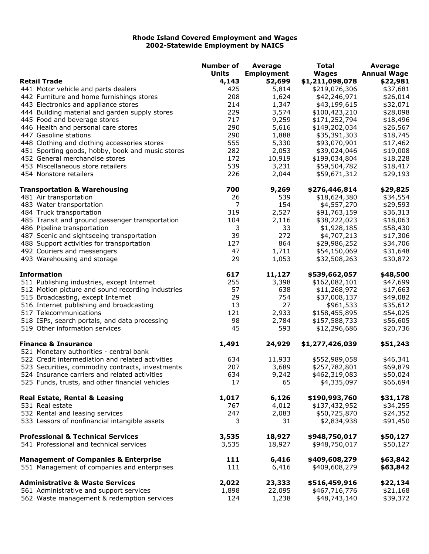## **Rhode Island Covered Employment and Wages 2002-Statewide Employment by NAICS**

|                                                   | <b>Number of</b> | <b>Average</b>    | <b>Total</b>    | Average            |
|---------------------------------------------------|------------------|-------------------|-----------------|--------------------|
|                                                   | <b>Units</b>     | <b>Employment</b> | <b>Wages</b>    | <b>Annual Wage</b> |
| <b>Retail Trade</b>                               | 4,143            | 52,699            | \$1,211,098,078 | \$22,981           |
| 441 Motor vehicle and parts dealers               | 425              | 5,814             | \$219,076,306   | \$37,681           |
| 442 Furniture and home furnishings stores         | 208              | 1,624             | \$42,246,971    | \$26,014           |
| 443 Electronics and appliance stores              | 214              | 1,347             | \$43,199,615    | \$32,071           |
| 444 Building material and garden supply stores    | 229              | 3,574             | \$100,423,210   | \$28,098           |
| 445 Food and beverage stores                      | 717              | 9,259             | \$171,252,794   | \$18,496           |
| 446 Health and personal care stores               | 290              | 5,616             | \$149,202,034   | \$26,567           |
| 447 Gasoline stations                             | 290              | 1,888             | \$35,391,303    | \$18,745           |
| 448 Clothing and clothing accessories stores      | 555              | 5,330             | \$93,070,901    | \$17,462           |
| 451 Sporting goods, hobby, book and music stores  | 282              | 2,053             | \$39,024,046    | \$19,008           |
| 452 General merchandise stores                    | 172              | 10,919            | \$199,034,804   | \$18,228           |
| 453 Miscellaneous store retailers                 | 539              | 3,231             | \$59,504,782    | \$18,417           |
| 454 Nonstore retailers                            | 226              | 2,044             | \$59,671,312    | \$29,193           |
| <b>Transportation &amp; Warehousing</b>           | 700              | 9,269             | \$276,446,814   | \$29,825           |
| 481 Air transportation                            | 26               | 539               | \$18,624,380    | \$34,554           |
| 483 Water transportation                          | 7                | 154               | \$4,557,270     | \$29,593           |
| 484 Truck transportation                          | 319              | 2,527             | \$91,763,159    | \$36,313           |
| 485 Transit and ground passenger transportation   | 104              | 2,116             | \$38,222,023    | \$18,063           |
| 486 Pipeline transportation                       | 3                | 33                | \$1,928,185     | \$58,430           |
| 487 Scenic and sightseeing transportation         | 39               | 272               | \$4,707,213     | \$17,306           |
| 488 Support activities for transportation         | 127              | 864               | \$29,986,252    | \$34,706           |
| 492 Couriers and messengers                       | 47               | 1,711             | \$54,150,069    | \$31,648           |
| 493 Warehousing and storage                       | 29               | 1,053             | \$32,508,263    | \$30,872           |
| <b>Information</b>                                | 617              | 11,127            | \$539,662,057   | \$48,500           |
| 511 Publishing industries, except Internet        | 255              | 3,398             | \$162,082,101   | \$47,699           |
| 512 Motion picture and sound recording industries | 57               | 638               | \$11,268,972    | \$17,663           |
| 515 Broadcasting, except Internet                 | 29               | 754               | \$37,008,137    | \$49,082           |
| 516 Internet publishing and broadcasting          | 13               | 27                | \$961,533       | \$35,612           |
| 517 Telecommunications                            | 121              | 2,933             | \$158,455,895   | \$54,025           |
| 518 ISPs, search portals, and data processing     | 98               | 2,784             | \$157,588,733   | \$56,605           |
| 519 Other information services                    | 45               | 593               | \$12,296,686    | \$20,736           |
| <b>Finance &amp; Insurance</b>                    | 1,491            | 24,929            | \$1,277,426,039 | \$51,243           |
| 521 Monetary authorities - central bank           |                  |                   |                 |                    |
| 522 Credit intermediation and related activities  | 634              | 11,933            | \$552,989,058   | \$46,341           |
| 523 Securities, commodity contracts, investments  | 207              | 3,689             | \$257,782,801   | \$69,879           |
| 524 Insurance carriers and related activities     | 634              | 9,242             | \$462,319,083   | \$50,024           |
| 525 Funds, trusts, and other financial vehicles   | 17               | 65                | \$4,335,097     | \$66,694           |
| Real Estate, Rental & Leasing                     | 1,017            | 6,126             | \$190,993,760   | \$31,178           |
| 531 Real estate                                   | 767              | 4,012             | \$137,432,952   | \$34,255           |
| 532 Rental and leasing services                   | 247              | 2,083             | \$50,725,870    | \$24,352           |
| 533 Lessors of nonfinancial intangible assets     | 3                | 31                | \$2,834,938     | \$91,450           |
| <b>Professional &amp; Technical Services</b>      | 3,535            | 18,927            | \$948,750,017   | \$50,127           |
| 541 Professional and technical services           | 3,535            | 18,927            | \$948,750,017   | \$50,127           |
| <b>Management of Companies &amp; Enterprise</b>   | 111              | 6,416             | \$409,608,279   | \$63,842           |
| 551 Management of companies and enterprises       | 111              | 6,416             | \$409,608,279   | \$63,842           |
| <b>Administrative &amp; Waste Services</b>        | 2,022            | 23,333            | \$516,459,916   | \$22,134           |
| 561 Administrative and support services           | 1,898            | 22,095            | \$467,716,776   | \$21,168           |
| 562 Waste management & redemption services        | 124              | 1,238             | \$48,743,140    | \$39,372           |